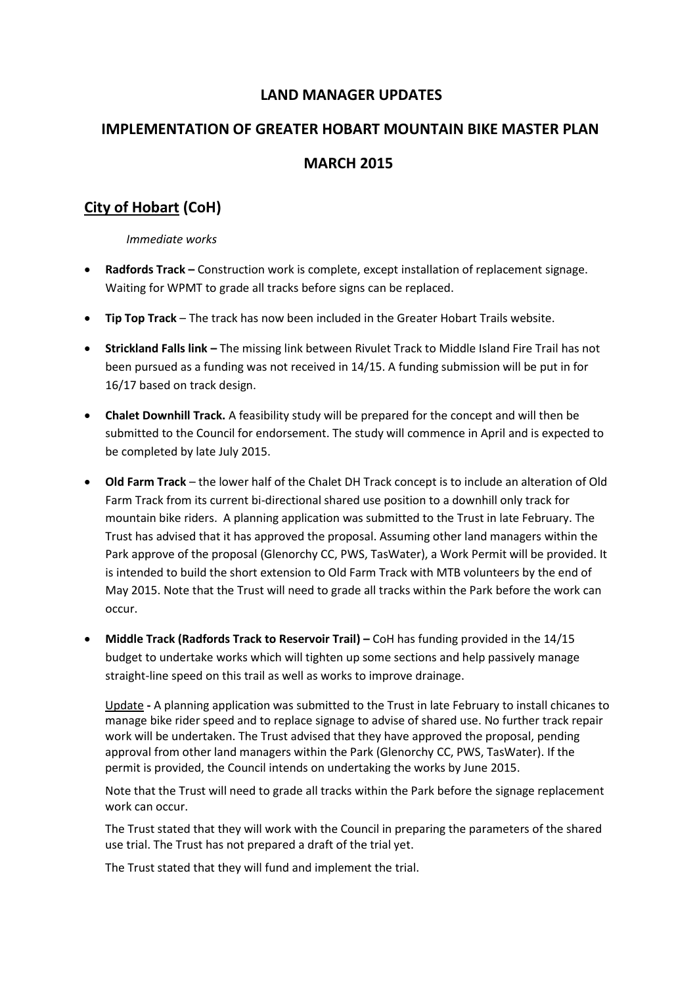### **LAND MANAGER UPDATES**

# **IMPLEMENTATION OF GREATER HOBART MOUNTAIN BIKE MASTER PLAN MARCH 2015**

# **City of Hobart (CoH)**

*Immediate works*

- **Radfords Track –** Construction work is complete, except installation of replacement signage. Waiting for WPMT to grade all tracks before signs can be replaced.
- **Tip Top Track**  The track has now been included in the Greater Hobart Trails website.
- **Strickland Falls link –** The missing link between Rivulet Track to Middle Island Fire Trail has not been pursued as a funding was not received in 14/15. A funding submission will be put in for 16/17 based on track design.
- **Chalet Downhill Track.** A feasibility study will be prepared for the concept and will then be submitted to the Council for endorsement. The study will commence in April and is expected to be completed by late July 2015.
- **Old Farm Track** the lower half of the Chalet DH Track concept is to include an alteration of Old Farm Track from its current bi-directional shared use position to a downhill only track for mountain bike riders. A planning application was submitted to the Trust in late February. The Trust has advised that it has approved the proposal. Assuming other land managers within the Park approve of the proposal (Glenorchy CC, PWS, TasWater), a Work Permit will be provided. It is intended to build the short extension to Old Farm Track with MTB volunteers by the end of May 2015. Note that the Trust will need to grade all tracks within the Park before the work can occur.
- **Middle Track (Radfords Track to Reservoir Trail) –** CoH has funding provided in the 14/15 budget to undertake works which will tighten up some sections and help passively manage straight-line speed on this trail as well as works to improve drainage.

Update **-** A planning application was submitted to the Trust in late February to install chicanes to manage bike rider speed and to replace signage to advise of shared use. No further track repair work will be undertaken. The Trust advised that they have approved the proposal, pending approval from other land managers within the Park (Glenorchy CC, PWS, TasWater). If the permit is provided, the Council intends on undertaking the works by June 2015.

Note that the Trust will need to grade all tracks within the Park before the signage replacement work can occur.

The Trust stated that they will work with the Council in preparing the parameters of the shared use trial. The Trust has not prepared a draft of the trial yet.

The Trust stated that they will fund and implement the trial.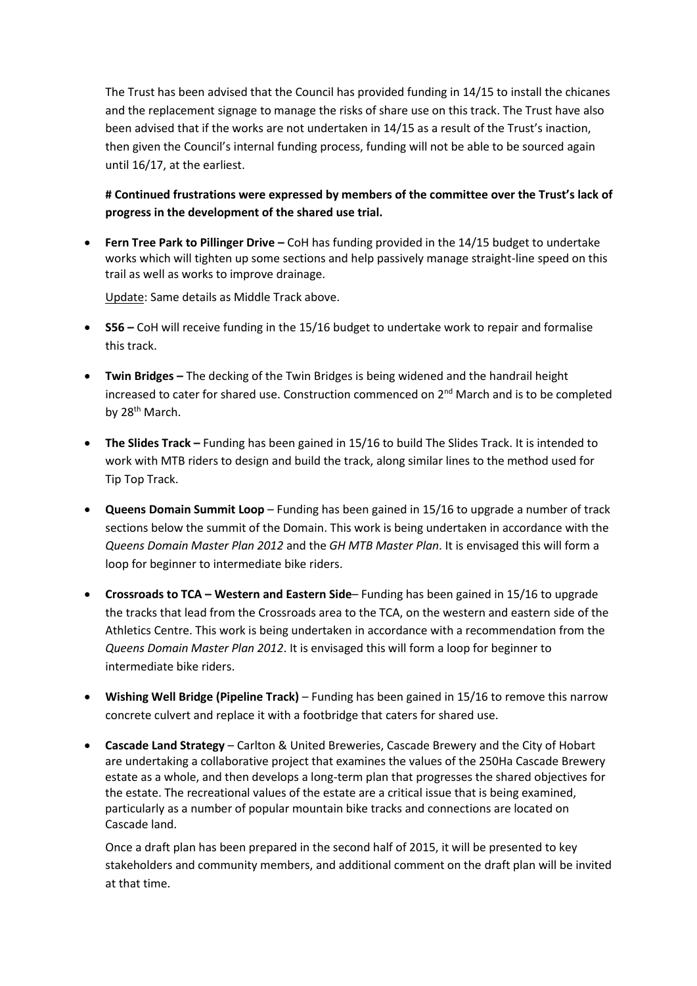The Trust has been advised that the Council has provided funding in 14/15 to install the chicanes and the replacement signage to manage the risks of share use on this track. The Trust have also been advised that if the works are not undertaken in 14/15 as a result of the Trust's inaction, then given the Council's internal funding process, funding will not be able to be sourced again until 16/17, at the earliest.

### **# Continued frustrations were expressed by members of the committee over the Trust's lack of progress in the development of the shared use trial.**

 **Fern Tree Park to Pillinger Drive –** CoH has funding provided in the 14/15 budget to undertake works which will tighten up some sections and help passively manage straight-line speed on this trail as well as works to improve drainage.

Update: Same details as Middle Track above.

- **S56 –** CoH will receive funding in the 15/16 budget to undertake work to repair and formalise this track.
- **Twin Bridges –** The decking of the Twin Bridges is being widened and the handrail height increased to cater for shared use. Construction commenced on 2<sup>nd</sup> March and is to be completed by 28<sup>th</sup> March.
- **The Slides Track –** Funding has been gained in 15/16 to build The Slides Track. It is intended to work with MTB riders to design and build the track, along similar lines to the method used for Tip Top Track.
- **Queens Domain Summit Loop**  Funding has been gained in 15/16 to upgrade a number of track sections below the summit of the Domain. This work is being undertaken in accordance with the *Queens Domain Master Plan 2012* and the *GH MTB Master Plan*. It is envisaged this will form a loop for beginner to intermediate bike riders.
- **Crossroads to TCA – Western and Eastern Side** Funding has been gained in 15/16 to upgrade the tracks that lead from the Crossroads area to the TCA, on the western and eastern side of the Athletics Centre. This work is being undertaken in accordance with a recommendation from the *Queens Domain Master Plan 2012*. It is envisaged this will form a loop for beginner to intermediate bike riders.
- **Wishing Well Bridge (Pipeline Track)**  Funding has been gained in 15/16 to remove this narrow concrete culvert and replace it with a footbridge that caters for shared use.
- **Cascade Land Strategy**  Carlton & United Breweries, Cascade Brewery and the City of Hobart are undertaking a collaborative project that examines the values of the 250Ha Cascade Brewery estate as a whole, and then develops a long-term plan that progresses the shared objectives for the estate. The recreational values of the estate are a critical issue that is being examined, particularly as a number of popular mountain bike tracks and connections are located on Cascade land.

Once a draft plan has been prepared in the second half of 2015, it will be presented to key stakeholders and community members, and additional comment on the draft plan will be invited at that time.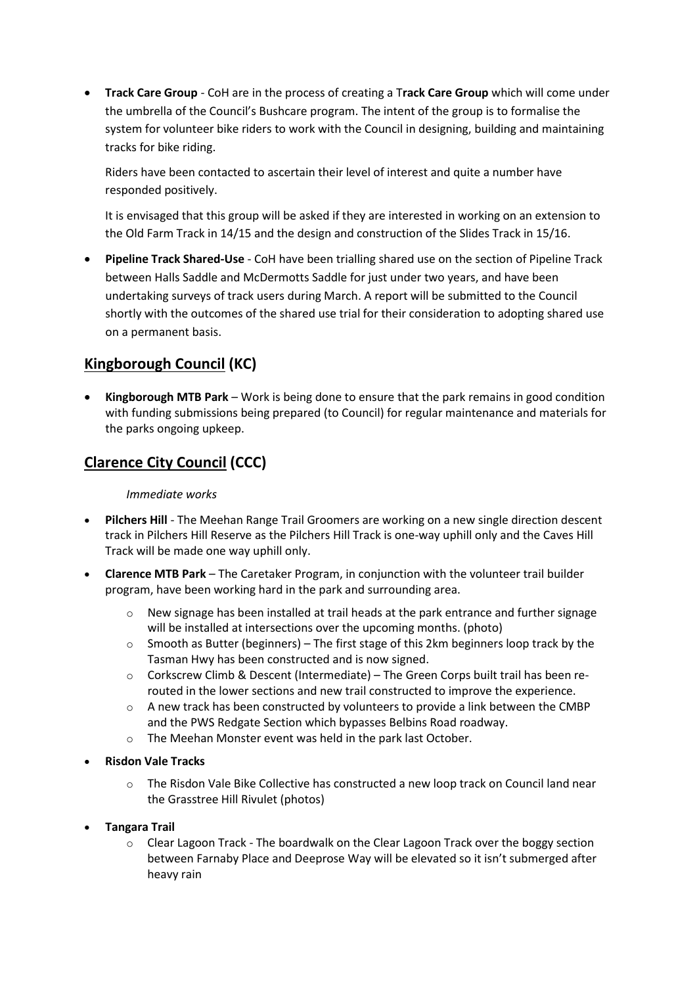**Track Care Group** - CoH are in the process of creating a T**rack Care Group** which will come under the umbrella of the Council's Bushcare program. The intent of the group is to formalise the system for volunteer bike riders to work with the Council in designing, building and maintaining tracks for bike riding.

Riders have been contacted to ascertain their level of interest and quite a number have responded positively.

It is envisaged that this group will be asked if they are interested in working on an extension to the Old Farm Track in 14/15 and the design and construction of the Slides Track in 15/16.

 **Pipeline Track Shared-Use** - CoH have been trialling shared use on the section of Pipeline Track between Halls Saddle and McDermotts Saddle for just under two years, and have been undertaking surveys of track users during March. A report will be submitted to the Council shortly with the outcomes of the shared use trial for their consideration to adopting shared use on a permanent basis.

## **Kingborough Council (KC)**

 **Kingborough MTB Park** – Work is being done to ensure that the park remains in good condition with funding submissions being prepared (to Council) for regular maintenance and materials for the parks ongoing upkeep.

## **Clarence City Council (CCC)**

#### *Immediate works*

- **Pilchers Hill** The Meehan Range Trail Groomers are working on a new single direction descent track in Pilchers Hill Reserve as the Pilchers Hill Track is one-way uphill only and the Caves Hill Track will be made one way uphill only.
- **Clarence MTB Park**  The Caretaker Program, in conjunction with the volunteer trail builder program, have been working hard in the park and surrounding area.
	- $\circ$  New signage has been installed at trail heads at the park entrance and further signage will be installed at intersections over the upcoming months. (photo)
	- $\circ$  Smooth as Butter (beginners) The first stage of this 2km beginners loop track by the Tasman Hwy has been constructed and is now signed.
	- $\circ$  Corkscrew Climb & Descent (Intermediate) The Green Corps built trail has been rerouted in the lower sections and new trail constructed to improve the experience.
	- $\circ$  A new track has been constructed by volunteers to provide a link between the CMBP and the PWS Redgate Section which bypasses Belbins Road roadway.
	- o The Meehan Monster event was held in the park last October.
- **Risdon Vale Tracks**
	- o The Risdon Vale Bike Collective has constructed a new loop track on Council land near the Grasstree Hill Rivulet (photos)
- **Tangara Trail** 
	- $\circ$  Clear Lagoon Track The boardwalk on the Clear Lagoon Track over the boggy section between Farnaby Place and Deeprose Way will be elevated so it isn't submerged after heavy rain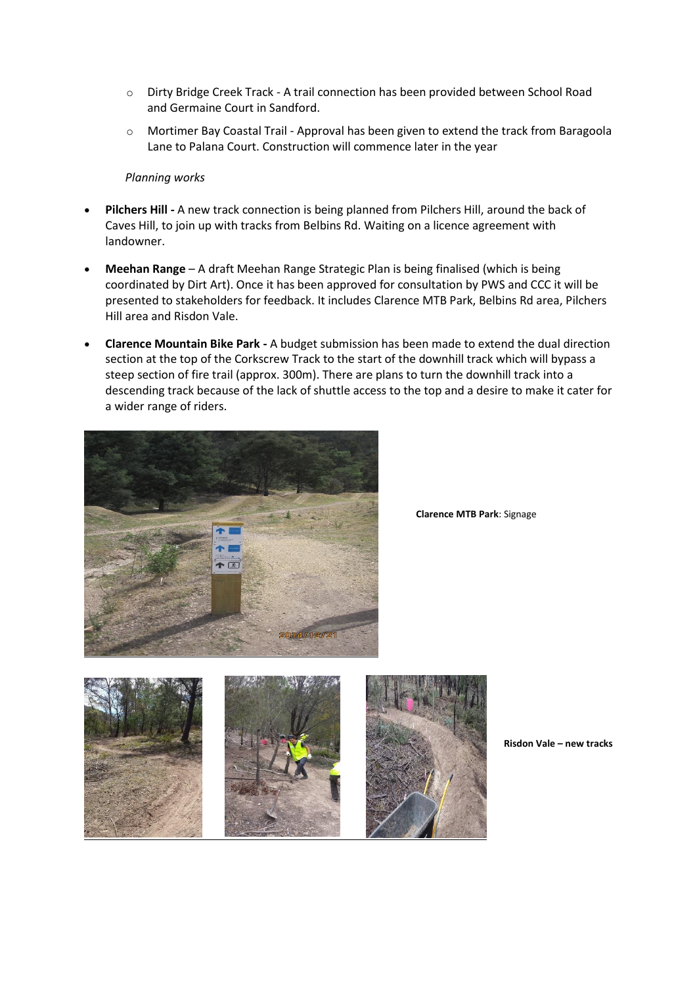- o Dirty Bridge Creek Track A trail connection has been provided between School Road and Germaine Court in Sandford.
- o Mortimer Bay Coastal Trail Approval has been given to extend the track from Baragoola Lane to Palana Court. Construction will commence later in the year

#### *Planning works*

- **Pilchers Hill -** A new track connection is being planned from Pilchers Hill, around the back of Caves Hill, to join up with tracks from Belbins Rd. Waiting on a licence agreement with landowner.
- **Meehan Range** A draft Meehan Range Strategic Plan is being finalised (which is being coordinated by Dirt Art). Once it has been approved for consultation by PWS and CCC it will be presented to stakeholders for feedback. It includes Clarence MTB Park, Belbins Rd area, Pilchers Hill area and Risdon Vale.
- **Clarence Mountain Bike Park -** A budget submission has been made to extend the dual direction section at the top of the Corkscrew Track to the start of the downhill track which will bypass a steep section of fire trail (approx. 300m). There are plans to turn the downhill track into a descending track because of the lack of shuttle access to the top and a desire to make it cater for a wider range of riders.



**Clarence MTB Park**: Signage



**Risdon Vale – new tracks**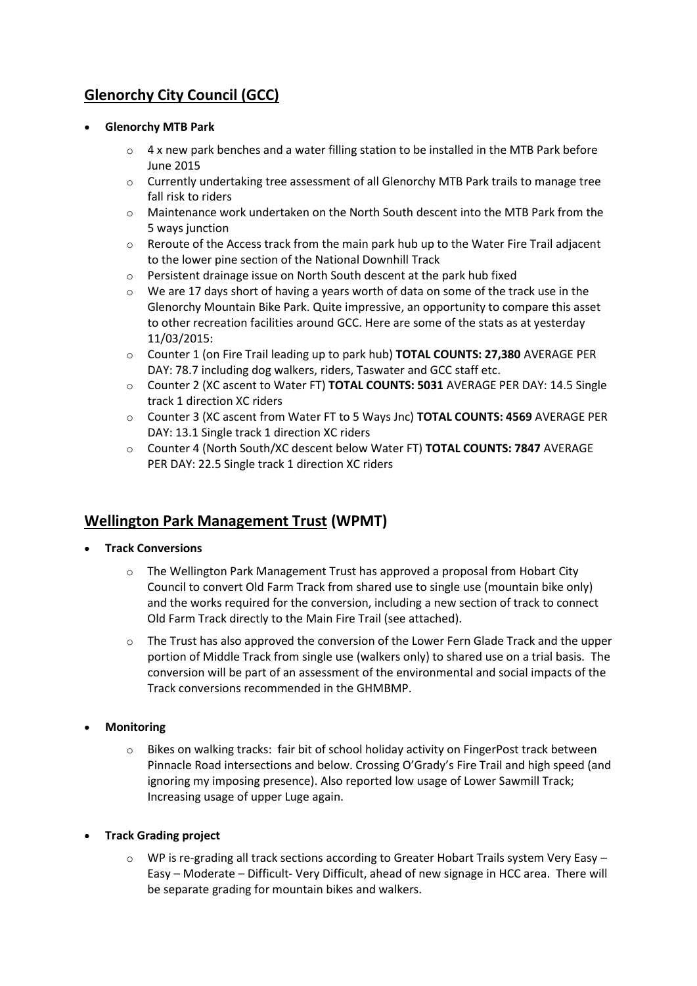# **Glenorchy City Council (GCC)**

#### **Glenorchy MTB Park**

- $\circ$  4 x new park benches and a water filling station to be installed in the MTB Park before June 2015
- $\circ$  Currently undertaking tree assessment of all Glenorchy MTB Park trails to manage tree fall risk to riders
- $\circ$  Maintenance work undertaken on the North South descent into the MTB Park from the 5 ways junction
- o Reroute of the Access track from the main park hub up to the Water Fire Trail adjacent to the lower pine section of the National Downhill Track
- o Persistent drainage issue on North South descent at the park hub fixed
- $\circ$  We are 17 days short of having a years worth of data on some of the track use in the Glenorchy Mountain Bike Park. Quite impressive, an opportunity to compare this asset to other recreation facilities around GCC. Here are some of the stats as at yesterday 11/03/2015:
- o Counter 1 (on Fire Trail leading up to park hub) **TOTAL COUNTS: 27,380** AVERAGE PER DAY: 78.7 including dog walkers, riders, Taswater and GCC staff etc.
- o Counter 2 (XC ascent to Water FT) **TOTAL COUNTS: 5031** AVERAGE PER DAY: 14.5 Single track 1 direction XC riders
- o Counter 3 (XC ascent from Water FT to 5 Ways Jnc) **TOTAL COUNTS: 4569** AVERAGE PER DAY: 13.1 Single track 1 direction XC riders
- o Counter 4 (North South/XC descent below Water FT) **TOTAL COUNTS: 7847** AVERAGE PER DAY: 22.5 Single track 1 direction XC riders

## **Wellington Park Management Trust (WPMT)**

- **Track Conversions**
	- $\circ$  The Wellington Park Management Trust has approved a proposal from Hobart City Council to convert Old Farm Track from shared use to single use (mountain bike only) and the works required for the conversion, including a new section of track to connect Old Farm Track directly to the Main Fire Trail (see attached).
	- $\circ$  The Trust has also approved the conversion of the Lower Fern Glade Track and the upper portion of Middle Track from single use (walkers only) to shared use on a trial basis. The conversion will be part of an assessment of the environmental and social impacts of the Track conversions recommended in the GHMBMP.
- **Monitoring**
	- $\circ$  Bikes on walking tracks: fair bit of school holiday activity on FingerPost track between Pinnacle Road intersections and below. Crossing O'Grady's Fire Trail and high speed (and ignoring my imposing presence). Also reported low usage of Lower Sawmill Track; Increasing usage of upper Luge again.
- **Track Grading project**
	- $\circ$  WP is re-grading all track sections according to Greater Hobart Trails system Very Easy Easy – Moderate – Difficult- Very Difficult, ahead of new signage in HCC area. There will be separate grading for mountain bikes and walkers.